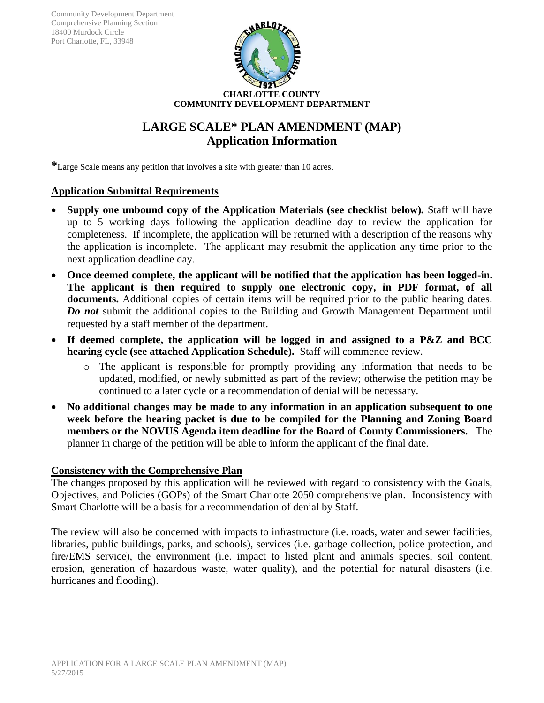

# **LARGE SCALE\* PLAN AMENDMENT (MAP) Application Information**

**\***Large Scale means any petition that involves a site with greater than 10 acres.

#### **Application Submittal Requirements**

- **Supply one unbound copy of the Application Materials (see checklist below)***.* Staff will have up to 5 working days following the application deadline day to review the application for completeness. If incomplete, the application will be returned with a description of the reasons why the application is incomplete. The applicant may resubmit the application any time prior to the next application deadline day.
- **Once deemed complete, the applicant will be notified that the application has been logged-in. The applicant is then required to supply one electronic copy, in PDF format, of all documents.** Additional copies of certain items will be required prior to the public hearing dates. *Do not* submit the additional copies to the Building and Growth Management Department until requested by a staff member of the department.
- **If deemed complete, the application will be logged in and assigned to a P&Z and BCC hearing cycle (see attached Application Schedule).** Staff will commence review.
	- o The applicant is responsible for promptly providing any information that needs to be updated, modified, or newly submitted as part of the review; otherwise the petition may be continued to a later cycle or a recommendation of denial will be necessary.
- **No additional changes may be made to any information in an application subsequent to one week before the hearing packet is due to be compiled for the Planning and Zoning Board members or the NOVUS Agenda item deadline for the Board of County Commissioners.** The planner in charge of the petition will be able to inform the applicant of the final date.

#### **Consistency with the Comprehensive Plan**

The changes proposed by this application will be reviewed with regard to consistency with the Goals, Objectives, and Policies (GOPs) of the Smart Charlotte 2050 comprehensive plan. Inconsistency with Smart Charlotte will be a basis for a recommendation of denial by Staff.

The review will also be concerned with impacts to infrastructure (i.e. roads, water and sewer facilities, libraries, public buildings, parks, and schools), services (i.e. garbage collection, police protection, and fire/EMS service), the environment (i.e. impact to listed plant and animals species, soil content, erosion, generation of hazardous waste, water quality), and the potential for natural disasters (i.e. hurricanes and flooding).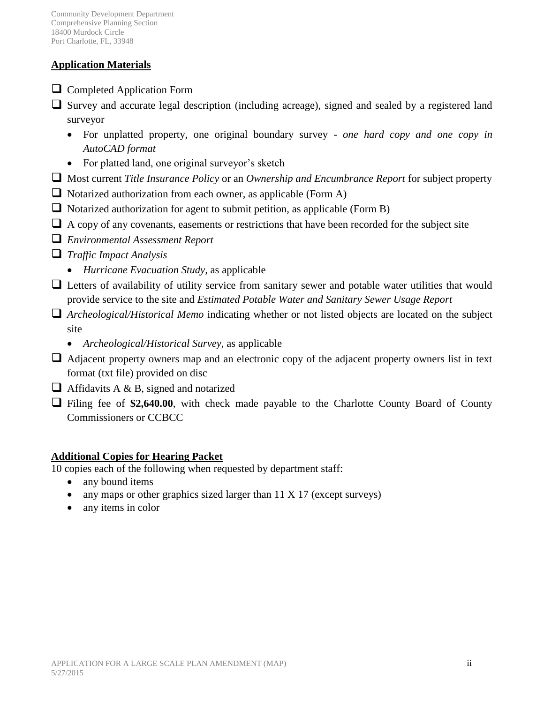# **Application Materials**

- **Q** Completed Application Form
- Survey and accurate legal description (including acreage), signed and sealed by a registered land surveyor
	- For unplatted property, one original boundary survey *- one hard copy and one copy in AutoCAD format*
	- For platted land, one original surveyor's sketch
- Most current *Title Insurance Policy* or an *Ownership and Encumbrance Report* for subject property
- $\Box$  Notarized authorization from each owner, as applicable (Form A)
- Notarized authorization for agent to submit petition, as applicable (Form B)
- $\Box$  A copy of any covenants, easements or restrictions that have been recorded for the subject site
- *Environmental Assessment Report*
- *Traffic Impact Analysis* 
	- *Hurricane Evacuation Study,* as applicable
- Letters of availability of utility service from sanitary sewer and potable water utilities that would provide service to the site and *Estimated Potable Water and Sanitary Sewer Usage Report*
- *Archeological/Historical Memo* indicating whether or not listed objects are located on the subject site
	- *Archeological/Historical Survey,* as applicable
- $\Box$  Adjacent property owners map and an electronic copy of the adjacent property owners list in text format (txt file) provided on disc
- $\Box$  Affidavits A & B, signed and notarized
- Filing fee of **\$2,640.00**, with check made payable to the Charlotte County Board of County Commissioners or CCBCC

# **Additional Copies for Hearing Packet**

10 copies each of the following when requested by department staff:

- any bound items
- any maps or other graphics sized larger than  $11 \times 17$  (except surveys)
- any items in color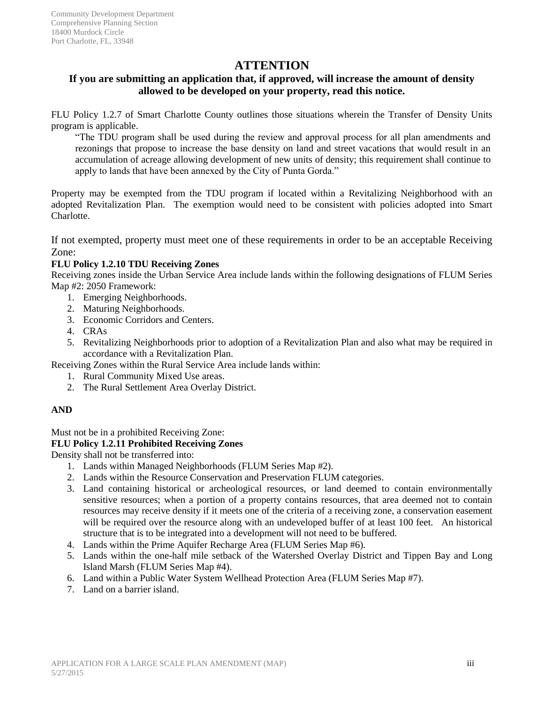# **ATTENTION**

## **If you are submitting an application that, if approved, will increase the amount of density allowed to be developed on your property, read this notice.**

FLU Policy 1.2.7 of Smart Charlotte County outlines those situations wherein the Transfer of Density Units program is applicable.

"The TDU program shall be used during the review and approval process for all plan amendments and rezonings that propose to increase the base density on land and street vacations that would result in an accumulation of acreage allowing development of new units of density; this requirement shall continue to apply to lands that have been annexed by the City of Punta Gorda."

Property may be exempted from the TDU program if located within a Revitalizing Neighborhood with an adopted Revitalization Plan. The exemption would need to be consistent with policies adopted into Smart Charlotte.

If not exempted, property must meet one of these requirements in order to be an acceptable Receiving Zone:

#### **FLU Policy 1.2.10 TDU Receiving Zones**

Receiving zones inside the Urban Service Area include lands within the following designations of FLUM Series Map #2: 2050 Framework:

- 1. Emerging Neighborhoods.
- 2. Maturing Neighborhoods.
- 3. Economic Corridors and Centers.
- 4. CRAs
- 5. Revitalizing Neighborhoods prior to adoption of a Revitalization Plan and also what may be required in accordance with a Revitalization Plan.

Receiving Zones within the Rural Service Area include lands within:

- 1. Rural Community Mixed Use areas.
- 2. The Rural Settlement Area Overlay District.

#### **AND**

Must not be in a prohibited Receiving Zone:

#### **FLU Policy 1.2.11 Prohibited Receiving Zones**

Density shall not be transferred into:

- 1. Lands within Managed Neighborhoods (FLUM Series Map #2).
- 2. Lands within the Resource Conservation and Preservation FLUM categories.
- 3. Land containing historical or archeological resources, or land deemed to contain environmentally sensitive resources; when a portion of a property contains resources, that area deemed not to contain resources may receive density if it meets one of the criteria of a receiving zone, a conservation easement will be required over the resource along with an undeveloped buffer of at least 100 feet. An historical structure that is to be integrated into a development will not need to be buffered.
- 4. Lands within the Prime Aquifer Recharge Area (FLUM Series Map #6).
- 5. Lands within the one-half mile setback of the Watershed Overlay District and Tippen Bay and Long Island Marsh (FLUM Series Map #4).
- 6. Land within a Public Water System Wellhead Protection Area (FLUM Series Map #7).
- 7. Land on a barrier island.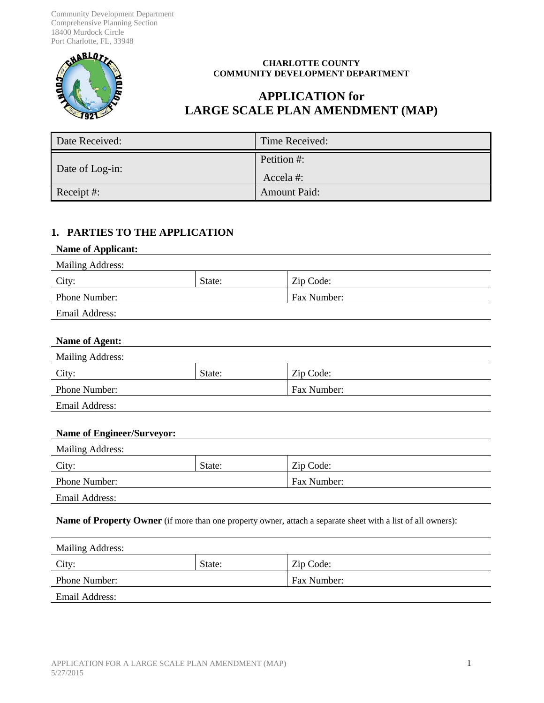Community Development Department Comprehensive Planning Section 18400 Murdock Circle Port Charlotte, FL, 33948



#### **CHARLOTTE COUNTY COMMUNITY DEVELOPMENT DEPARTMENT**

# **APPLICATION for LARGE SCALE PLAN AMENDMENT (MAP)**

| Date Received:  | Time Received:          |
|-----------------|-------------------------|
| Date of Log-in: | Petition #:<br>Accela#: |
|                 |                         |
| Receipt #:      | <b>Amount Paid:</b>     |

### **1. PARTIES TO THE APPLICATION**

| <b>Name of Applicant:</b> |        |             |  |
|---------------------------|--------|-------------|--|
| <b>Mailing Address:</b>   |        |             |  |
| City:                     | State: | Zip Code:   |  |
| Phone Number:             |        | Fax Number: |  |
| <b>Email Address:</b>     |        |             |  |
|                           |        |             |  |
| Name of Agent:            |        |             |  |
| <b>Mailing Address:</b>   |        |             |  |
| City:                     | State: | Zip Code:   |  |
| Phone Number:             |        | Fax Number: |  |
| <b>Email Address:</b>     |        |             |  |
|                           |        |             |  |

#### **Name of Engineer/Surveyor:**

| <b>Mailing Address:</b> |        |             |
|-------------------------|--------|-------------|
| City:                   | State: | Zip Code:   |
| <b>Phone Number:</b>    |        | Fax Number: |
| Email Address:          |        |             |

**Name of Property Owner** (if more than one property owner, attach a separate sheet with a list of all owners):

| <b>Mailing Address:</b> |        |             |
|-------------------------|--------|-------------|
| City:                   | State: | Zip Code:   |
| Phone Number:           |        | Fax Number: |
| Email Address:          |        |             |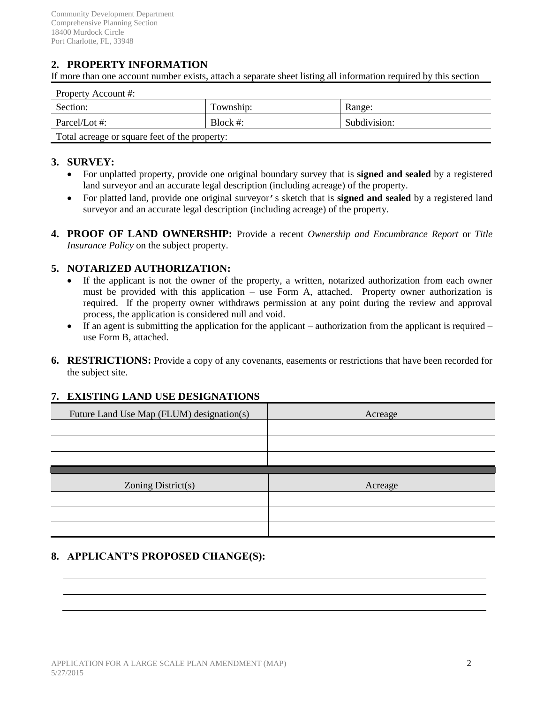# **2. PROPERTY INFORMATION**

If more than one account number exists, attach a separate sheet listing all information required by this section

| Property Account #:                           |             |              |
|-----------------------------------------------|-------------|--------------|
| Section:                                      | Township:   | Range:       |
| Parcel/Lot #:                                 | Block $#$ : | Subdivision: |
| Total acreage or square feet of the property: |             |              |

#### **3. SURVEY:**

- For unplatted property, provide one original boundary survey that is **signed and sealed** by a registered land surveyor and an accurate legal description (including acreage) of the property.
- For platted land, provide one original surveyor's sketch that is **signed and sealed** by a registered land surveyor and an accurate legal description (including acreage) of the property.
- **4. PROOF OF LAND OWNERSHIP:** Provide a recent *Ownership and Encumbrance Report* or *Title Insurance Policy* on the subject property.

#### **5. NOTARIZED AUTHORIZATION:**

- If the applicant is not the owner of the property, a written, notarized authorization from each owner must be provided with this application – use Form A, attached. Property owner authorization is required. If the property owner withdraws permission at any point during the review and approval process, the application is considered null and void.
- If an agent is submitting the application for the applicant authorization from the applicant is required use Form B, attached.
- **6. RESTRICTIONS:** Provide a copy of any covenants, easements or restrictions that have been recorded for the subject site.

#### **7. EXISTING LAND USE DESIGNATIONS**

| Future Land Use Map (FLUM) designation(s) | Acreage |
|-------------------------------------------|---------|
|                                           |         |
|                                           |         |
|                                           |         |
|                                           |         |
|                                           |         |
| Zoning District(s)                        | Acreage |
|                                           |         |
|                                           |         |

### **8. APPLICANT'S PROPOSED CHANGE(S):**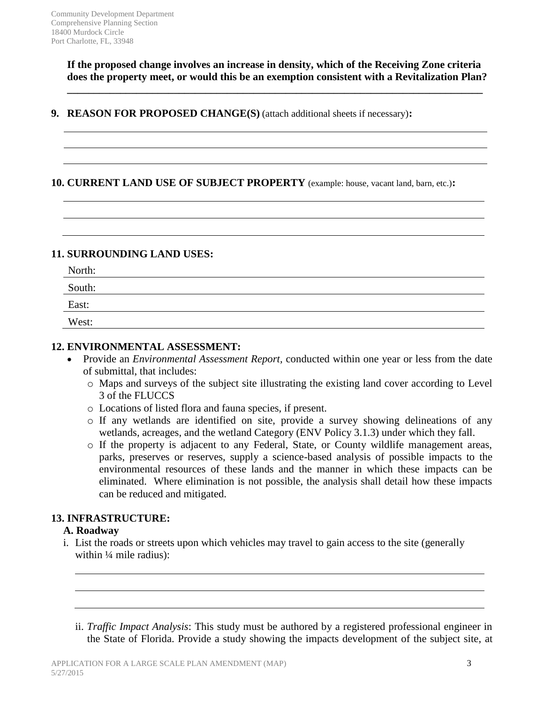**If the proposed change involves an increase in density, which of the Receiving Zone criteria does the property meet, or would this be an exemption consistent with a Revitalization Plan?**

**\_\_\_\_\_\_\_\_\_\_\_\_\_\_\_\_\_\_\_\_\_\_\_\_\_\_\_\_\_\_\_\_\_\_\_\_\_\_\_\_\_\_\_\_\_\_\_\_\_\_\_\_\_\_\_\_\_\_\_\_\_\_\_\_\_\_\_\_\_\_\_\_\_\_\_\_\_\_**

**9. REASON FOR PROPOSED CHANGE(S)** (attach additional sheets if necessary)**:**

### **10. CURRENT LAND USE OF SUBJECT PROPERTY** (example: house, vacant land, barn, etc.)**:**

## **11. SURROUNDING LAND USES:**

| North: |  |
|--------|--|
| South: |  |
| East:  |  |
| West:  |  |

#### **12. ENVIRONMENTAL ASSESSMENT:**

- Provide an *Environmental Assessment Report,* conducted within one year or less from the date of submittal, that includes:
	- o Maps and surveys of the subject site illustrating the existing land cover according to Level 3 of the FLUCCS
	- o Locations of listed flora and fauna species, if present.
	- o If any wetlands are identified on site, provide a survey showing delineations of any wetlands, acreages, and the wetland Category (ENV Policy 3.1.3) under which they fall.
	- o If the property is adjacent to any Federal, State, or County wildlife management areas, parks, preserves or reserves, supply a science-based analysis of possible impacts to the environmental resources of these lands and the manner in which these impacts can be eliminated. Where elimination is not possible, the analysis shall detail how these impacts can be reduced and mitigated.

### **13. INFRASTRUCTURE:**

#### **A. Roadway**

i. List the roads or streets upon which vehicles may travel to gain access to the site (generally within  $\frac{1}{4}$  mile radius):

ii. *Traffic Impact Analysis*: This study must be authored by a registered professional engineer in the State of Florida. Provide a study showing the impacts development of the subject site, at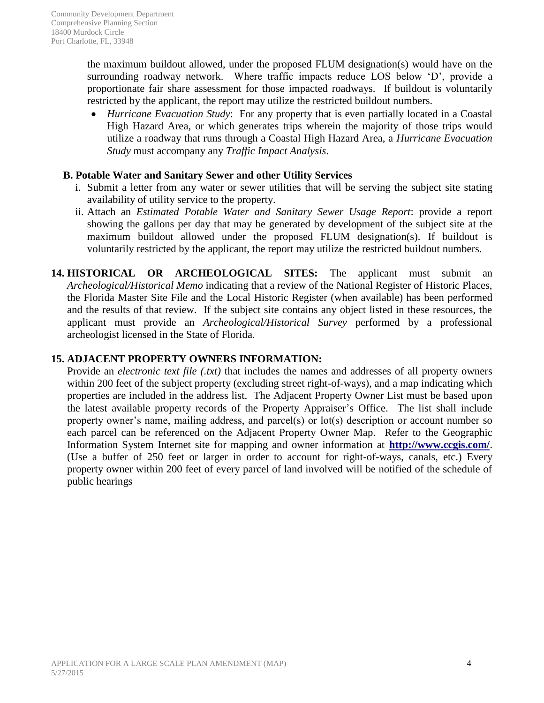the maximum buildout allowed, under the proposed FLUM designation(s) would have on the surrounding roadway network. Where traffic impacts reduce LOS below 'D', provide a proportionate fair share assessment for those impacted roadways. If buildout is voluntarily restricted by the applicant, the report may utilize the restricted buildout numbers.

 *Hurricane Evacuation Study*: For any property that is even partially located in a Coastal High Hazard Area, or which generates trips wherein the majority of those trips would utilize a roadway that runs through a Coastal High Hazard Area, a *Hurricane Evacuation Study* must accompany any *Traffic Impact Analysis*.

#### **B. Potable Water and Sanitary Sewer and other Utility Services**

- i. Submit a letter from any water or sewer utilities that will be serving the subject site stating availability of utility service to the property.
- ii. Attach an *Estimated Potable Water and Sanitary Sewer Usage Report*: provide a report showing the gallons per day that may be generated by development of the subject site at the maximum buildout allowed under the proposed FLUM designation(s). If buildout is voluntarily restricted by the applicant, the report may utilize the restricted buildout numbers.
- **14. HISTORICAL OR ARCHEOLOGICAL SITES:** The applicant must submit an *Archeological/Historical Memo* indicating that a review of the National Register of Historic Places, the Florida Master Site File and the Local Historic Register (when available) has been performed and the results of that review. If the subject site contains any object listed in these resources, the applicant must provide an *Archeological/Historical Survey* performed by a professional archeologist licensed in the State of Florida.

### **15. ADJACENT PROPERTY OWNERS INFORMATION:**

Provide an *electronic text file (.txt)* that includes the names and addresses of all property owners within 200 feet of the subject property (excluding street right-of-ways), and a map indicating which properties are included in the address list. The Adjacent Property Owner List must be based upon the latest available property records of the Property Appraiser's Office. The list shall include property owner's name, mailing address, and parcel(s) or lot(s) description or account number so each parcel can be referenced on the Adjacent Property Owner Map. Refer to the Geographic Information System Internet site for mapping and owner information at **http://www.ccgis.com/**. (Use a buffer of 250 feet or larger in order to account for right-of-ways, canals, etc.) Every property owner within 200 feet of every parcel of land involved will be notified of the schedule of public hearings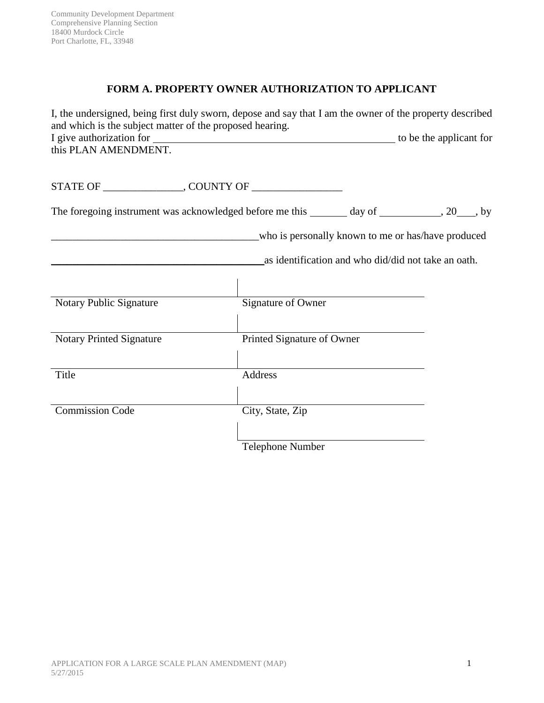# **FORM A. PROPERTY OWNER AUTHORIZATION TO APPLICANT**

| I, the undersigned, being first duly sworn, depose and say that I am the owner of the property described<br>and which is the subject matter of the proposed hearing. |                            |                                                     |                                                    |
|----------------------------------------------------------------------------------------------------------------------------------------------------------------------|----------------------------|-----------------------------------------------------|----------------------------------------------------|
| this PLAN AMENDMENT.                                                                                                                                                 |                            |                                                     |                                                    |
|                                                                                                                                                                      |                            |                                                     |                                                    |
| The foregoing instrument was acknowledged before me this _______ day of __________, 20___, by                                                                        |                            |                                                     |                                                    |
| Notary Public Signature                                                                                                                                              | Signature of Owner         | as identification and who did/did not take an oath. | who is personally known to me or has/have produced |
| <b>Notary Printed Signature</b>                                                                                                                                      | Printed Signature of Owner |                                                     |                                                    |
| Title                                                                                                                                                                | Address                    |                                                     |                                                    |
| <b>Commission Code</b>                                                                                                                                               | City, State, Zip           |                                                     |                                                    |
|                                                                                                                                                                      | Telephone Number           |                                                     |                                                    |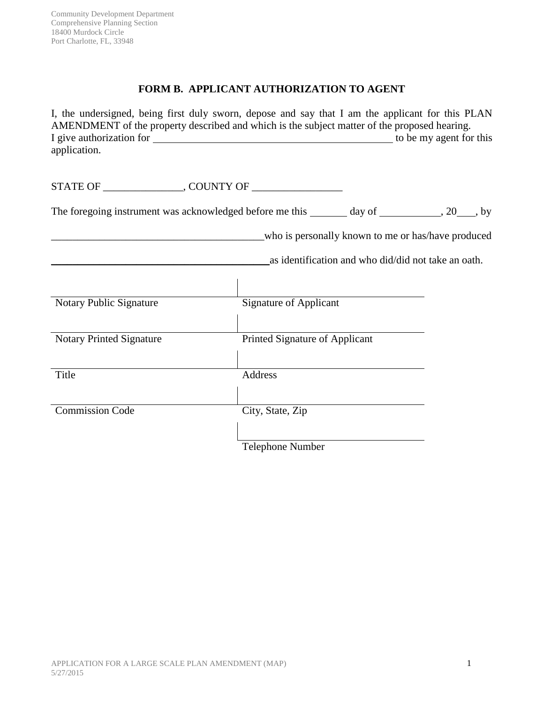# **FORM B. APPLICANT AUTHORIZATION TO AGENT**

| I, the undersigned, being first duly sworn, depose and say that I am the applicant for this PLAN<br>AMENDMENT of the property described and which is the subject matter of the proposed hearing.<br>application. |                                |                                                     |                                                    |
|------------------------------------------------------------------------------------------------------------------------------------------------------------------------------------------------------------------|--------------------------------|-----------------------------------------------------|----------------------------------------------------|
|                                                                                                                                                                                                                  |                                |                                                     |                                                    |
| The foregoing instrument was acknowledged before me this _______ day of ___________, 20____, by                                                                                                                  |                                |                                                     |                                                    |
| Notary Public Signature                                                                                                                                                                                          | <b>Signature of Applicant</b>  | as identification and who did/did not take an oath. | who is personally known to me or has/have produced |
| <b>Notary Printed Signature</b>                                                                                                                                                                                  | Printed Signature of Applicant |                                                     |                                                    |
| Title                                                                                                                                                                                                            | Address                        |                                                     |                                                    |
| <b>Commission Code</b>                                                                                                                                                                                           | City, State, Zip               |                                                     |                                                    |
|                                                                                                                                                                                                                  | <b>Telephone Number</b>        |                                                     |                                                    |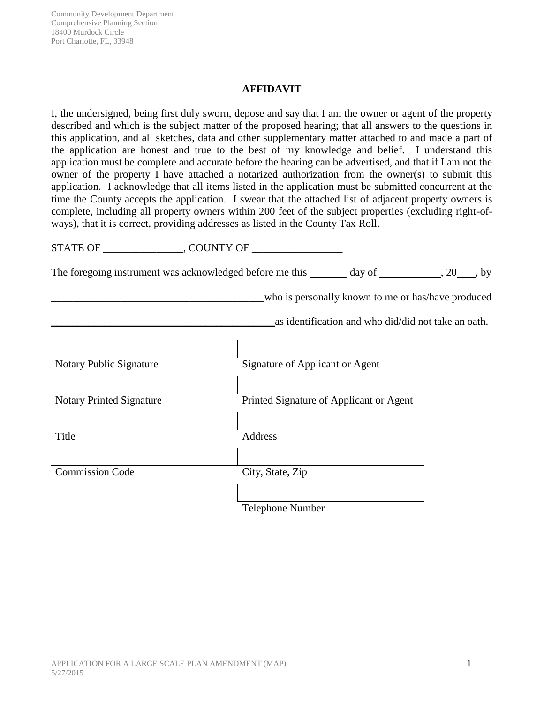Community Development Department Comprehensive Planning Section 18400 Murdock Circle Port Charlotte, FL, 33948

#### **AFFIDAVIT**

I, the undersigned, being first duly sworn, depose and say that I am the owner or agent of the property described and which is the subject matter of the proposed hearing; that all answers to the questions in this application, and all sketches, data and other supplementary matter attached to and made a part of the application are honest and true to the best of my knowledge and belief. I understand this application must be complete and accurate before the hearing can be advertised, and that if I am not the owner of the property I have attached a notarized authorization from the owner(s) to submit this application. I acknowledge that all items listed in the application must be submitted concurrent at the time the County accepts the application. I swear that the attached list of adjacent property owners is complete, including all property owners within 200 feet of the subject properties (excluding right-ofways), that it is correct, providing addresses as listed in the County Tax Roll.

|                                 | The foregoing instrument was acknowledged before me this $\_\_\_\_$ day of $\_\_\_\_$ , 20, by |                                                     |                                                    |
|---------------------------------|------------------------------------------------------------------------------------------------|-----------------------------------------------------|----------------------------------------------------|
|                                 |                                                                                                |                                                     | who is personally known to me or has/have produced |
|                                 |                                                                                                | as identification and who did/did not take an oath. |                                                    |
|                                 |                                                                                                |                                                     |                                                    |
| Notary Public Signature         | Signature of Applicant or Agent                                                                |                                                     |                                                    |
| <b>Notary Printed Signature</b> | Printed Signature of Applicant or Agent                                                        |                                                     |                                                    |
| Title                           | Address                                                                                        |                                                     |                                                    |
|                                 |                                                                                                |                                                     |                                                    |
| <b>Commission Code</b>          | City, State, Zip                                                                               |                                                     |                                                    |
|                                 | <b>Telephone Number</b>                                                                        |                                                     |                                                    |